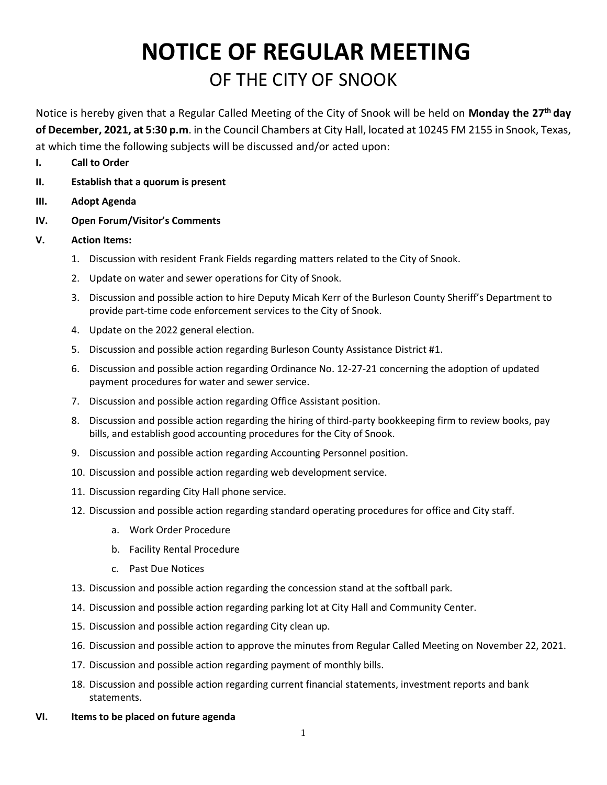## **NOTICE OF REGULAR MEETING** OF THE CITY OF SNOOK

Notice is hereby given that a Regular Called Meeting of the City of Snook will be held on **Monday the 27 th day of December, 2021, at 5:30 p.m**. in the Council Chambers at City Hall, located at 10245 FM 2155 in Snook, Texas, at which time the following subjects will be discussed and/or acted upon:

- **I. Call to Order**
- **II. Establish that a quorum is present**
- **III. Adopt Agenda**
- **IV. Open Forum/Visitor's Comments**

## **V. Action Items:**

- 1. Discussion with resident Frank Fields regarding matters related to the City of Snook.
- 2. Update on water and sewer operations for City of Snook.
- 3. Discussion and possible action to hire Deputy Micah Kerr of the Burleson County Sheriff's Department to provide part-time code enforcement services to the City of Snook.
- 4. Update on the 2022 general election.
- 5. Discussion and possible action regarding Burleson County Assistance District #1.
- 6. Discussion and possible action regarding Ordinance No. 12-27-21 concerning the adoption of updated payment procedures for water and sewer service.
- 7. Discussion and possible action regarding Office Assistant position.
- 8. Discussion and possible action regarding the hiring of third-party bookkeeping firm to review books, pay bills, and establish good accounting procedures for the City of Snook.
- 9. Discussion and possible action regarding Accounting Personnel position.
- 10. Discussion and possible action regarding web development service.
- 11. Discussion regarding City Hall phone service.
- 12. Discussion and possible action regarding standard operating procedures for office and City staff.
	- a. Work Order Procedure
	- b. Facility Rental Procedure
	- c. Past Due Notices
- 13. Discussion and possible action regarding the concession stand at the softball park.
- 14. Discussion and possible action regarding parking lot at City Hall and Community Center.
- 15. Discussion and possible action regarding City clean up.
- 16. Discussion and possible action to approve the minutes from Regular Called Meeting on November 22, 2021.
- 17. Discussion and possible action regarding payment of monthly bills.
- 18. Discussion and possible action regarding current financial statements, investment reports and bank statements.
- **VI. Items to be placed on future agenda**